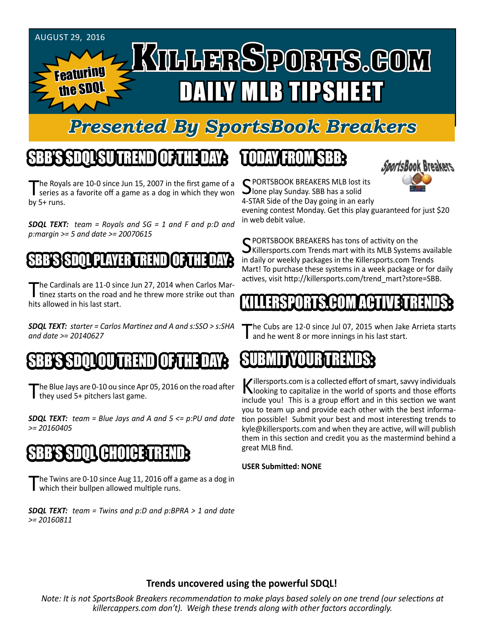

### *Presented By SportsBook Breakers*

## SBB'S SDQL SU TREND OF THE DAY:

The Royals are 10-0 since Jun 15, 2007 in the first game of a<br>series as a favorite off a game as a dog in which they won by 5+ runs.

*SDQL TEXT: team = Royals and SG = 1 and F and p:D and p:margin >= 5 and date >= 20070615*

#### B'S'S SPOQUE PLAYER TRE

The Cardinals are 11-0 since Jun 27, 2014 when Carlos Martinez starts on the road and he threw more strike out than hits allowed in his last start.

*SDQL TEXT: starter = Carlos Martinez and A and s:SSO > s:SHA and date >= 20140627*

#### OU I IN 1314 N DI

The Blue Jays are 0-10 ou since Apr 05, 2016 on the road after they used 5+ pitchers last game.

*SDQL TEXT: team = Blue Jays and A and 5 <= p:PU and date >= 20160405*

#### AHOIAE:

The Twins are 0-10 since Aug 11, 2016 off a game as a dog in which their bullpen allowed multiple runs.

*SDQL TEXT: team = Twins and p:D and p:BPRA > 1 and date >= 20160811*

#### TODAY HAOMSBB



C PORTSBOOK BREAKERS MLB lost its **J**lone play Sunday. SBB has a solid 4-STAR Side of the Day going in an early

evening contest Monday. Get this play guaranteed for just \$20 in web debit value.

SPORTSBOOK BREAKERS has tons of activity on the<br>Killersports.com Trends mart with its MLB Systems available in daily or weekly packages in the Killersports.com Trends Mart! To purchase these systems in a week package or for daily actives, visit http://killersports.com/trend\_mart?store=SBB.

#### KILLERSPORTS.COM ACTIVE TRENDS:

The Cubs are 12-0 since Jul 07, 2015 when Jake Arrieta starts **I** and he went 8 or more innings in his last start.

#### SUBMITYOURTRENDS:

Killersports.com is a collected effort of smart, savvy individuals<br>Nooking to capitalize in the world of sports and those efforts include you! This is a group effort and in this section we want you to team up and provide each other with the best information possible! Submit your best and most interesting trends to kyle@killersports.com and when they are active, will will publish them in this section and credit you as the mastermind behind a great MLB find.

#### **USER Submitted: NONE**

#### **Trends uncovered using the powerful SDQL!**

*Note: It is not SportsBook Breakers recommendation to make plays based solely on one trend (our selections at killercappers.com don't). Weigh these trends along with other factors accordingly.*